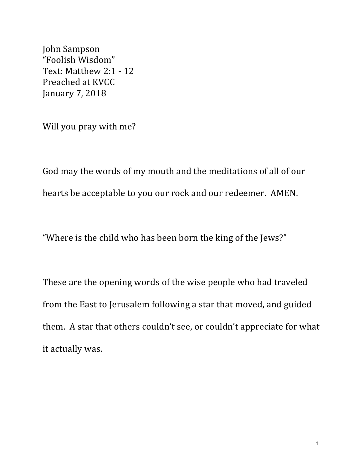John Sampson "Foolish Wisdom" Text: Matthew 2:1 - 12 Preached at KVCC January 7, 2018

Will you pray with me?

God may the words of my mouth and the meditations of all of our hearts be acceptable to you our rock and our redeemer. AMEN.

"Where is the child who has been born the king of the Jews?"

These are the opening words of the wise people who had traveled from the East to Jerusalem following a star that moved, and guided them. A star that others couldn't see, or couldn't appreciate for what it actually was.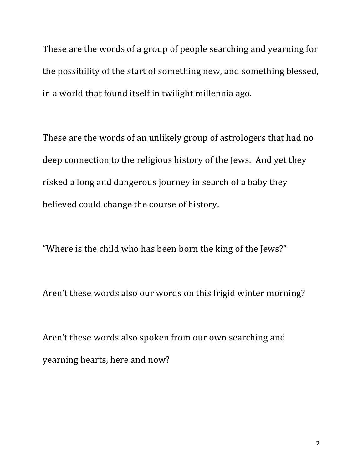These are the words of a group of people searching and yearning for the possibility of the start of something new, and something blessed, in a world that found itself in twilight millennia ago.

These are the words of an unlikely group of astrologers that had no deep connection to the religious history of the Jews. And yet they risked a long and dangerous journey in search of a baby they believed could change the course of history.

"Where is the child who has been born the king of the Jews?"

Aren't these words also our words on this frigid winter morning?

Aren't these words also spoken from our own searching and yearning hearts, here and now?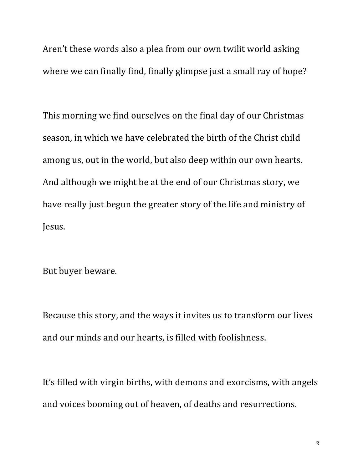Aren't these words also a plea from our own twilit world asking where we can finally find, finally glimpse just a small ray of hope?

This morning we find ourselves on the final day of our Christmas season, in which we have celebrated the birth of the Christ child among us, out in the world, but also deep within our own hearts. And although we might be at the end of our Christmas story, we have really just begun the greater story of the life and ministry of Jesus.

But buyer beware.

Because this story, and the ways it invites us to transform our lives and our minds and our hearts, is filled with foolishness.

It's filled with virgin births, with demons and exorcisms, with angels and voices booming out of heaven, of deaths and resurrections.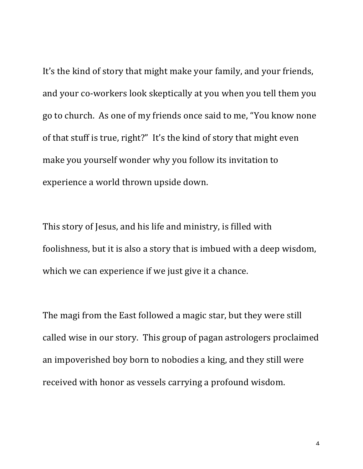It's the kind of story that might make your family, and your friends, and your co-workers look skeptically at you when you tell them you go to church. As one of my friends once said to me, "You know none of that stuff is true, right?" It's the kind of story that might even make you yourself wonder why you follow its invitation to experience a world thrown upside down.

This story of Jesus, and his life and ministry, is filled with foolishness, but it is also a story that is imbued with a deep wisdom, which we can experience if we just give it a chance.

The magi from the East followed a magic star, but they were still called wise in our story. This group of pagan astrologers proclaimed an impoverished boy born to nobodies a king, and they still were received with honor as vessels carrying a profound wisdom.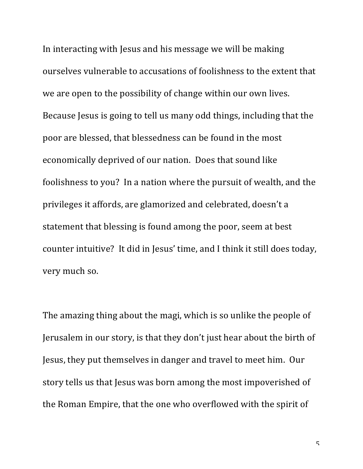In interacting with Jesus and his message we will be making ourselves vulnerable to accusations of foolishness to the extent that we are open to the possibility of change within our own lives. Because Jesus is going to tell us many odd things, including that the poor are blessed, that blessedness can be found in the most economically deprived of our nation. Does that sound like foolishness to you? In a nation where the pursuit of wealth, and the privileges it affords, are glamorized and celebrated, doesn't a statement that blessing is found among the poor, seem at best counter intuitive? It did in Jesus' time, and I think it still does today, very much so.

The amazing thing about the magi, which is so unlike the people of Jerusalem in our story, is that they don't just hear about the birth of Jesus, they put themselves in danger and travel to meet him. Our story tells us that Jesus was born among the most impoverished of the Roman Empire, that the one who overflowed with the spirit of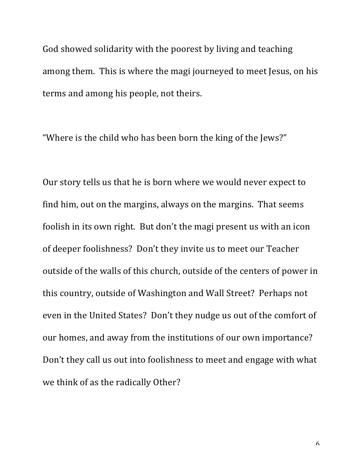God showed solidarity with the poorest by living and teaching among them. This is where the magi journeyed to meet Jesus, on his terms and among his people, not theirs.

"Where is the child who has been born the king of the Jews?"

Our story tells us that he is born where we would never expect to find him, out on the margins, always on the margins. That seems foolish in its own right. But don't the magi present us with an icon of deeper foolishness? Don't they invite us to meet our Teacher outside of the walls of this church, outside of the centers of power in this country, outside of Washington and Wall Street? Perhaps not even in the United States? Don't they nudge us out of the comfort of our homes, and away from the institutions of our own importance? Don't they call us out into foolishness to meet and engage with what we think of as the radically Other?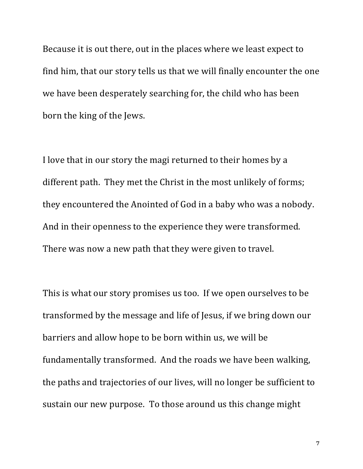Because it is out there, out in the places where we least expect to find him, that our story tells us that we will finally encounter the one we have been desperately searching for, the child who has been born the king of the Jews.

I love that in our story the magi returned to their homes by a different path. They met the Christ in the most unlikely of forms; they encountered the Anointed of God in a baby who was a nobody. And in their openness to the experience they were transformed. There was now a new path that they were given to travel.

This is what our story promises us too. If we open ourselves to be transformed by the message and life of Jesus, if we bring down our barriers and allow hope to be born within us, we will be fundamentally transformed. And the roads we have been walking, the paths and trajectories of our lives, will no longer be sufficient to sustain our new purpose. To those around us this change might